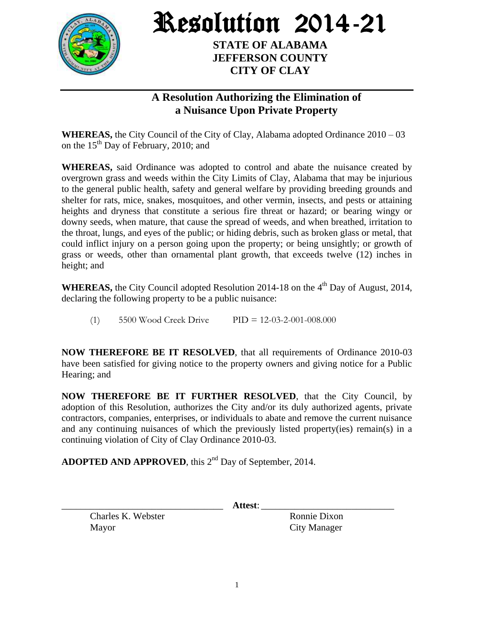

Resolution 2014-21

**STATE OF ALABAMA JEFFERSON COUNTY CITY OF CLAY**

## **A Resolution Authorizing the Elimination of a Nuisance Upon Private Property**

**WHEREAS,** the City Council of the City of Clay, Alabama adopted Ordinance 2010 – 03 on the  $15<sup>th</sup>$  Day of February, 2010; and

**WHEREAS,** said Ordinance was adopted to control and abate the nuisance created by overgrown grass and weeds within the City Limits of Clay, Alabama that may be injurious to the general public health, safety and general welfare by providing breeding grounds and shelter for rats, mice, snakes, mosquitoes, and other vermin, insects, and pests or attaining heights and dryness that constitute a serious fire threat or hazard; or bearing wingy or downy seeds, when mature, that cause the spread of weeds, and when breathed, irritation to the throat, lungs, and eyes of the public; or hiding debris, such as broken glass or metal, that could inflict injury on a person going upon the property; or being unsightly; or growth of grass or weeds, other than ornamental plant growth, that exceeds twelve (12) inches in height; and

WHEREAS, the City Council adopted Resolution 2014-18 on the 4<sup>th</sup> Day of August, 2014, declaring the following property to be a public nuisance:

(1) 5500 Wood Creek Drive PID = 12-03-2-001-008.000

**NOW THEREFORE BE IT RESOLVED**, that all requirements of Ordinance 2010-03 have been satisfied for giving notice to the property owners and giving notice for a Public Hearing; and

**NOW THEREFORE BE IT FURTHER RESOLVED**, that the City Council, by adoption of this Resolution, authorizes the City and/or its duly authorized agents, private contractors, companies, enterprises, or individuals to abate and remove the current nuisance and any continuing nuisances of which the previously listed property(ies) remain(s) in a continuing violation of City of Clay Ordinance 2010-03.

ADOPTED AND APPROVED, this 2<sup>nd</sup> Day of September, 2014.

Charles K. Webster Ronnie Dixon Mayor City Manager

\_\_\_\_\_\_\_\_\_\_\_\_\_\_\_\_\_\_\_\_\_\_\_\_\_\_\_\_\_\_\_\_\_\_ **Attest**: \_\_\_\_\_\_\_\_\_\_\_\_\_\_\_\_\_\_\_\_\_\_\_\_\_\_\_\_